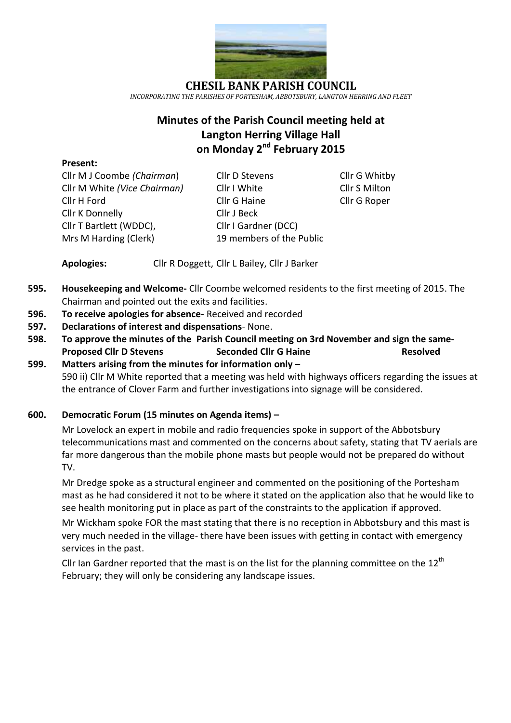

**CHESIL BANK PARISH COUNCIL** *INCORPORATING THE PARISHES OF PORTESHAM, ABBOTSBURY, LANGTON HERRING AND FLEET*

# **Minutes of the Parish Council meeting held at Langton Herring Village Hall on Monday 2 nd February 2015**

#### **Present:**

Cllr K Donnelly Cllr J Beck Cllr T Bartlett (WDDC), Cllr I Gardner (DCC)

Cllr M J Coombe *(Chairman*) Cllr D Stevens Cllr G Whitby Cllr M White *(Vice Chairman)* Cllr I White Cllr S Milton Cllr H Ford Cllr G Haine Cllr G Roper Mrs M Harding (Clerk) 19 members of the Public

**Apologies:** Cllr R Doggett, Cllr L Bailey, Cllr J Barker

- **595. Housekeeping and Welcome-** Cllr Coombe welcomed residents to the first meeting of 2015. The Chairman and pointed out the exits and facilities.
- **596. To receive apologies for absence-** Received and recorded
- **597. Declarations of interest and dispensations** None.
- **598. To approve the minutes of the Parish Council meeting on 3rd November and sign the same-Proposed Cllr D Stevens Seconded Cllr G Haine Resolved**
- **599. Matters arising from the minutes for information only –** 590 ii) Cllr M White reported that a meeting was held with highways officers regarding the issues at the entrance of Clover Farm and further investigations into signage will be considered.

# **600. Democratic Forum (15 minutes on Agenda items) –**

Mr Lovelock an expert in mobile and radio frequencies spoke in support of the Abbotsbury telecommunications mast and commented on the concerns about safety, stating that TV aerials are far more dangerous than the mobile phone masts but people would not be prepared do without TV.

Mr Dredge spoke as a structural engineer and commented on the positioning of the Portesham mast as he had considered it not to be where it stated on the application also that he would like to see health monitoring put in place as part of the constraints to the application if approved.

Mr Wickham spoke FOR the mast stating that there is no reception in Abbotsbury and this mast is very much needed in the village- there have been issues with getting in contact with emergency services in the past.

Cllr Ian Gardner reported that the mast is on the list for the planning committee on the  $12<sup>th</sup>$ February; they will only be considering any landscape issues.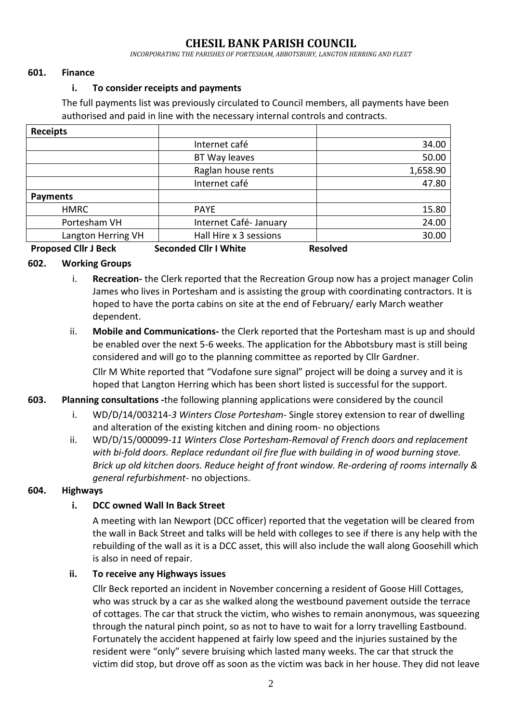# **CHESIL BANK PARISH COUNCIL**

*INCORPORATING THE PARISHES OF PORTESHAM, ABBOTSBURY, LANGTON HERRING AND FLEET*

#### **601. Finance**

#### **i. To consider receipts and payments**

The full payments list was previously circulated to Council members, all payments have been authorised and paid in line with the necessary internal controls and contracts.

| <b>Receipts</b>       |                         |            |
|-----------------------|-------------------------|------------|
|                       | Internet café           | 34.00      |
|                       | BT Way leaves           | 50.00      |
|                       | Raglan house rents      | 1,658.90   |
|                       | Internet café           | 47.80      |
| <b>Payments</b>       |                         |            |
| <b>HMRC</b>           | <b>PAYE</b>             | 15.80      |
| Portesham VH          | Internet Café-January   | 24.00      |
| Langton Herring VH    | Hall Hire x 3 sessions  | 30.00      |
| n a chead Alban na dh | Associated Allermanders | . <b>.</b> |

#### **Proposed Cllr J Beck Seconded Cllr I White Resolved**

### **602. Working Groups**

- i. **Recreation-** the Clerk reported that the Recreation Group now has a project manager Colin James who lives in Portesham and is assisting the group with coordinating contractors. It is hoped to have the porta cabins on site at the end of February/ early March weather dependent.
- ii. **Mobile and Communications-** the Clerk reported that the Portesham mast is up and should be enabled over the next 5-6 weeks. The application for the Abbotsbury mast is still being considered and will go to the planning committee as reported by Cllr Gardner.

Cllr M White reported that "Vodafone sure signal" project will be doing a survey and it is hoped that Langton Herring which has been short listed is successful for the support.

#### **603. Planning consultations -**the following planning applications were considered by the council

- i. WD/D/14/003214*-3 Winters Close Portesham-* Single storey extension to rear of dwelling and alteration of the existing kitchen and dining room- no objections
- ii. WD/D/15/000099-*11 Winters Close Portesham-Removal of French doors and replacement with bi-fold doors. Replace redundant oil fire flue with building in of wood burning stove. Brick up old kitchen doors. Reduce height of front window. Re-ordering of rooms internally & general refurbishment-* no objections.

#### **604. Highways**

#### **i. DCC owned Wall In Back Street**

A meeting with Ian Newport (DCC officer) reported that the vegetation will be cleared from the wall in Back Street and talks will be held with colleges to see if there is any help with the rebuilding of the wall as it is a DCC asset, this will also include the wall along Goosehill which is also in need of repair.

#### **ii. To receive any Highways issues**

Cllr Beck reported an incident in November concerning a resident of Goose Hill Cottages, who was struck by a car as she walked along the westbound pavement outside the terrace of cottages. The car that struck the victim, who wishes to remain anonymous, was squeezing through the natural pinch point, so as not to have to wait for a lorry travelling Eastbound. Fortunately the accident happened at fairly low speed and the injuries sustained by the resident were "only" severe bruising which lasted many weeks. The car that struck the victim did stop, but drove off as soon as the victim was back in her house. They did not leave